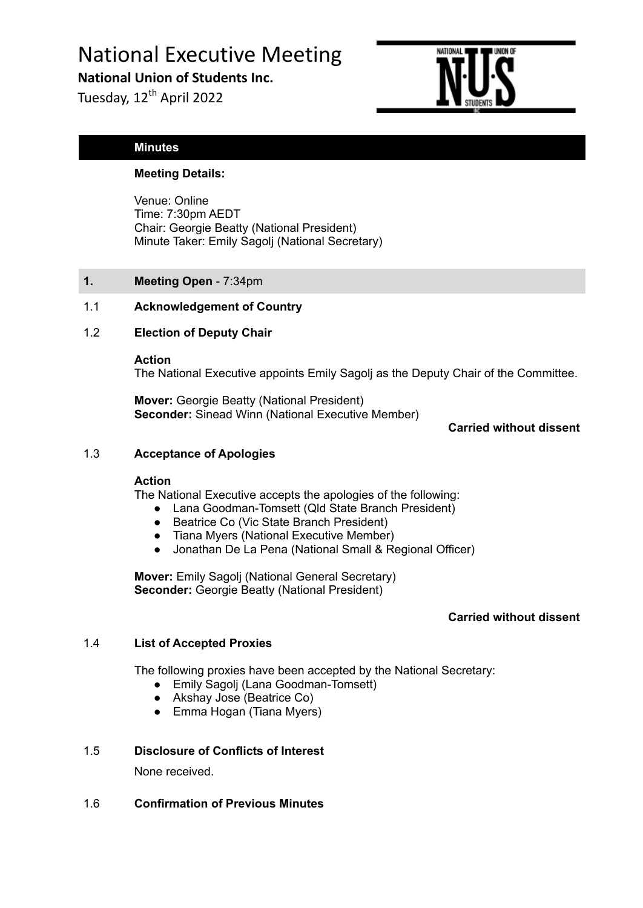# National Executive Meeting

**National Union of Students Inc.**

Tuesday, 12<sup>th</sup> April 2022



# **Minutes**

# **Meeting Details:**

Venue: Online Time: 7:30pm AEDT Chair: Georgie Beatty (National President) Minute Taker: Emily Sagolj (National Secretary)

**1. Meeting Open** - 7:34pm

# 1.1 **Acknowledgement of Country**

# 1.2 **Election of Deputy Chair**

**Action**

The National Executive appoints Emily Sagolj as the Deputy Chair of the Committee.

**Mover:** Georgie Beatty (National President) **Seconder:** Sinead Winn (National Executive Member)

**Carried without dissent**

## 1.3 **Acceptance of Apologies**

#### **Action**

The National Executive accepts the apologies of the following:

- Lana Goodman-Tomsett (Qld State Branch President)
- Beatrice Co (Vic State Branch President)
- Tiana Myers (National Executive Member)
- Jonathan De La Pena (National Small & Regional Officer)

**Mover:** Emily Sagolj (National General Secretary) **Seconder:** Georgie Beatty (National President)

# **Carried without dissent**

# 1.4 **List of Accepted Proxies**

The following proxies have been accepted by the National Secretary:

- Emily Sagolj (Lana Goodman-Tomsett)
- Akshay Jose (Beatrice Co)
- Emma Hogan (Tiana Myers)

# 1.5 **Disclosure of Conflicts of Interest**

None received.

# 1.6 **Confirmation of Previous Minutes**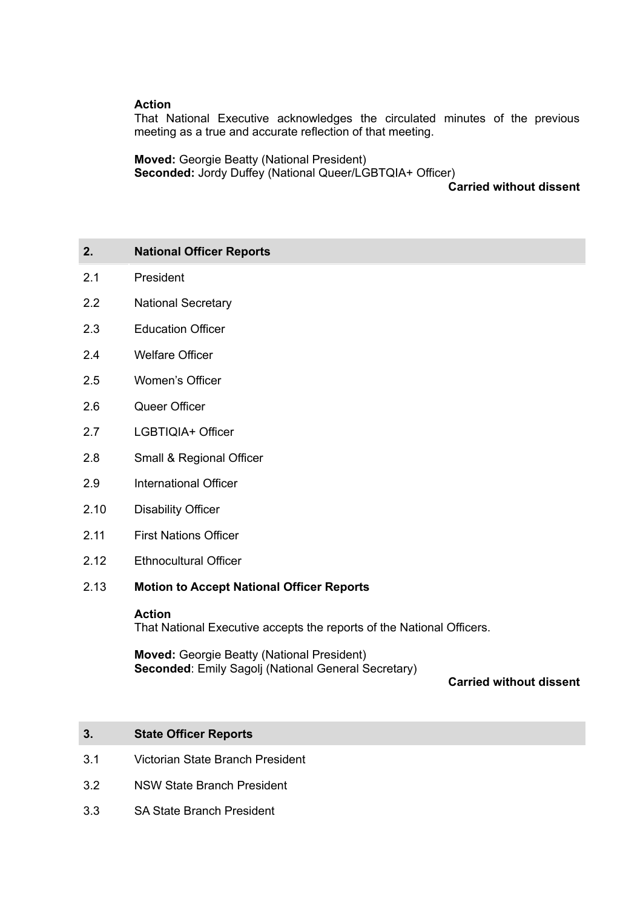## **Action**

That National Executive acknowledges the circulated minutes of the previous meeting as a true and accurate reflection of that meeting.

**Moved:** Georgie Beatty (National President) **Seconded:** Jordy Duffey (National Queer/LGBTQIA+ Officer)

## **Carried without dissent**

# **2. National Officer Reports**

- 2.1 President
- 2.2 National Secretary
- 2.3 Education Officer
- 2.4 Welfare Officer
- 2.5 Women's Officer
- 2.6 Queer Officer
- 2.7 LGBTIQIA+ Officer
- 2.8 Small & Regional Officer
- 2.9 International Officer
- 2.10 Disability Officer
- 2.11 First Nations Officer
- 2.12 Ethnocultural Officer

## 2.13 **Motion to Accept National Officer Reports**

#### **Action**

That National Executive accepts the reports of the National Officers.

**Moved:** Georgie Beatty (National President) **Seconded**: Emily Sagolj (National General Secretary)

**Carried without dissent**

# **3. State Officer Reports**

- 3.1 Victorian State Branch President
- 3.2 NSW State Branch President
- 3.3 SA State Branch President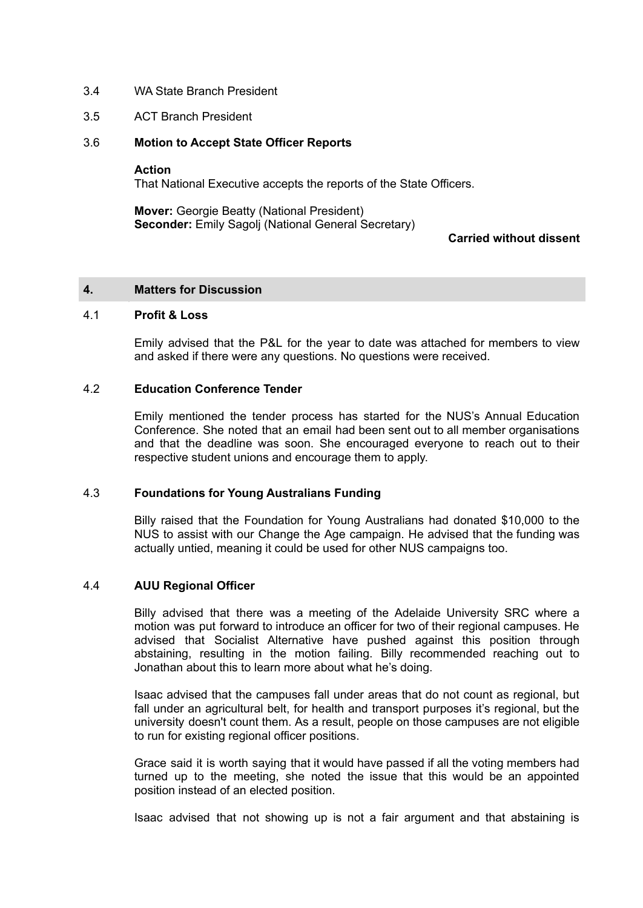- 3.4 WA State Branch President
- 3.5 ACT Branch President

## 3.6 **Motion to Accept State Officer Reports**

#### **Action**

That National Executive accepts the reports of the State Officers.

**Mover:** Georgie Beatty (National President) **Seconder:** Emily Sagolj (National General Secretary)

## **Carried without dissent**

#### **4. Matters for Discussion**

#### 4.1 **Profit & Loss**

Emily advised that the P&L for the year to date was attached for members to view and asked if there were any questions. No questions were received.

## 4.2 **Education Conference Tender**

Emily mentioned the tender process has started for the NUS's Annual Education Conference. She noted that an email had been sent out to all member organisations and that the deadline was soon. She encouraged everyone to reach out to their respective student unions and encourage them to apply.

#### 4.3 **Foundations for Young Australians Funding**

Billy raised that the Foundation for Young Australians had donated \$10,000 to the NUS to assist with our Change the Age campaign. He advised that the funding was actually untied, meaning it could be used for other NUS campaigns too.

# 4.4 **AUU Regional Officer**

Billy advised that there was a meeting of the Adelaide University SRC where a motion was put forward to introduce an officer for two of their regional campuses. He advised that Socialist Alternative have pushed against this position through abstaining, resulting in the motion failing. Billy recommended reaching out to Jonathan about this to learn more about what he's doing.

Isaac advised that the campuses fall under areas that do not count as regional, but fall under an agricultural belt, for health and transport purposes it's regional, but the university doesn't count them. As a result, people on those campuses are not eligible to run for existing regional officer positions.

Grace said it is worth saying that it would have passed if all the voting members had turned up to the meeting, she noted the issue that this would be an appointed position instead of an elected position.

Isaac advised that not showing up is not a fair argument and that abstaining is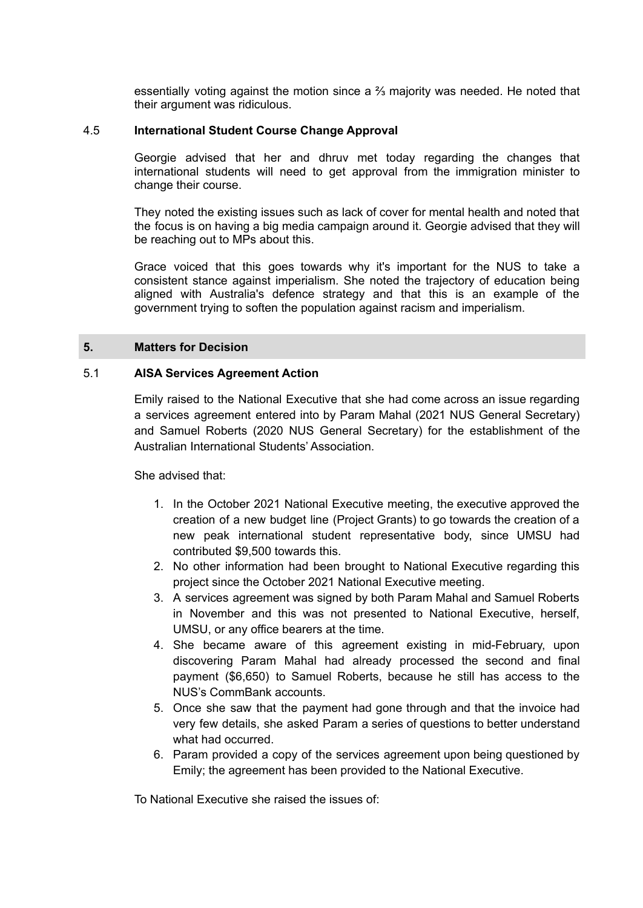essentially voting against the motion since a  $\frac{2}{3}$  majority was needed. He noted that their argument was ridiculous.

#### 4.5 **International Student Course Change Approval**

Georgie advised that her and dhruv met today regarding the changes that international students will need to get approval from the immigration minister to change their course.

They noted the existing issues such as lack of cover for mental health and noted that the focus is on having a big media campaign around it. Georgie advised that they will be reaching out to MPs about this.

Grace voiced that this goes towards why it's important for the NUS to take a consistent stance against imperialism. She noted the trajectory of education being aligned with Australia's defence strategy and that this is an example of the government trying to soften the population against racism and imperialism.

# **5. Matters for Decision**

## 5.1 **AISA Services Agreement Action**

Emily raised to the National Executive that she had come across an issue regarding a services agreement entered into by Param Mahal (2021 NUS General Secretary) and Samuel Roberts (2020 NUS General Secretary) for the establishment of the Australian International Students' Association.

She advised that:

- 1. In the October 2021 National Executive meeting, the executive approved the creation of a new budget line (Project Grants) to go towards the creation of a new peak international student representative body, since UMSU had contributed \$9,500 towards this.
- 2. No other information had been brought to National Executive regarding this project since the October 2021 National Executive meeting.
- 3. A services agreement was signed by both Param Mahal and Samuel Roberts in November and this was not presented to National Executive, herself, UMSU, or any office bearers at the time.
- 4. She became aware of this agreement existing in mid-February, upon discovering Param Mahal had already processed the second and final payment (\$6,650) to Samuel Roberts, because he still has access to the NUS's CommBank accounts.
- 5. Once she saw that the payment had gone through and that the invoice had very few details, she asked Param a series of questions to better understand what had occurred.
- 6. Param provided a copy of the services agreement upon being questioned by Emily; the agreement has been provided to the National Executive.

To National Executive she raised the issues of: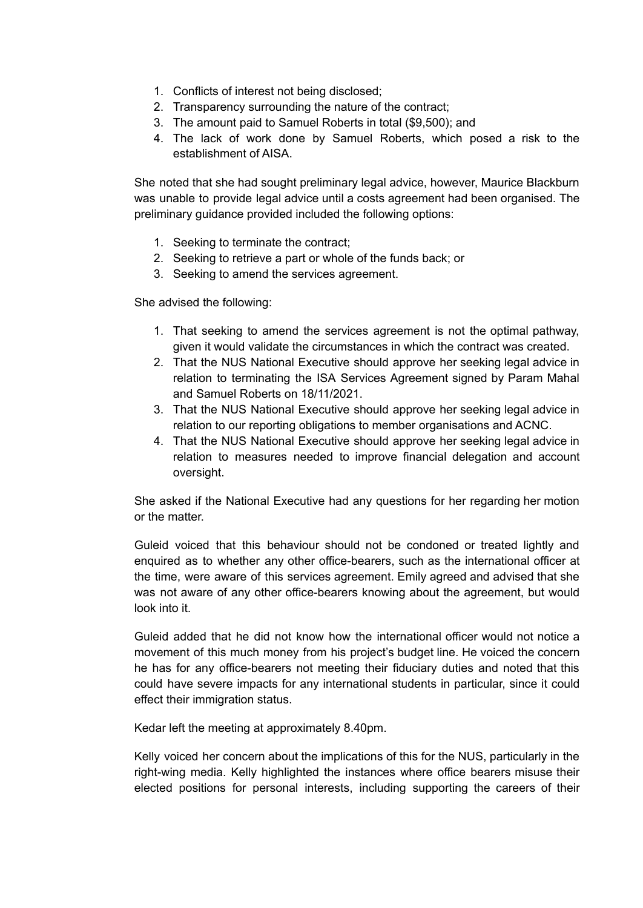- 1. Conflicts of interest not being disclosed;
- 2. Transparency surrounding the nature of the contract;
- 3. The amount paid to Samuel Roberts in total (\$9,500); and
- 4. The lack of work done by Samuel Roberts, which posed a risk to the establishment of AISA.

She noted that she had sought preliminary legal advice, however, Maurice Blackburn was unable to provide legal advice until a costs agreement had been organised. The preliminary guidance provided included the following options:

- 1. Seeking to terminate the contract;
- 2. Seeking to retrieve a part or whole of the funds back; or
- 3. Seeking to amend the services agreement.

She advised the following:

- 1. That seeking to amend the services agreement is not the optimal pathway, given it would validate the circumstances in which the contract was created.
- 2. That the NUS National Executive should approve her seeking legal advice in relation to terminating the ISA Services Agreement signed by Param Mahal and Samuel Roberts on 18/11/2021.
- 3. That the NUS National Executive should approve her seeking legal advice in relation to our reporting obligations to member organisations and ACNC.
- 4. That the NUS National Executive should approve her seeking legal advice in relation to measures needed to improve financial delegation and account oversight.

She asked if the National Executive had any questions for her regarding her motion or the matter.

Guleid voiced that this behaviour should not be condoned or treated lightly and enquired as to whether any other office-bearers, such as the international officer at the time, were aware of this services agreement. Emily agreed and advised that she was not aware of any other office-bearers knowing about the agreement, but would look into it.

Guleid added that he did not know how the international officer would not notice a movement of this much money from his project's budget line. He voiced the concern he has for any office-bearers not meeting their fiduciary duties and noted that this could have severe impacts for any international students in particular, since it could effect their immigration status.

Kedar left the meeting at approximately 8.40pm.

Kelly voiced her concern about the implications of this for the NUS, particularly in the right-wing media. Kelly highlighted the instances where office bearers misuse their elected positions for personal interests, including supporting the careers of their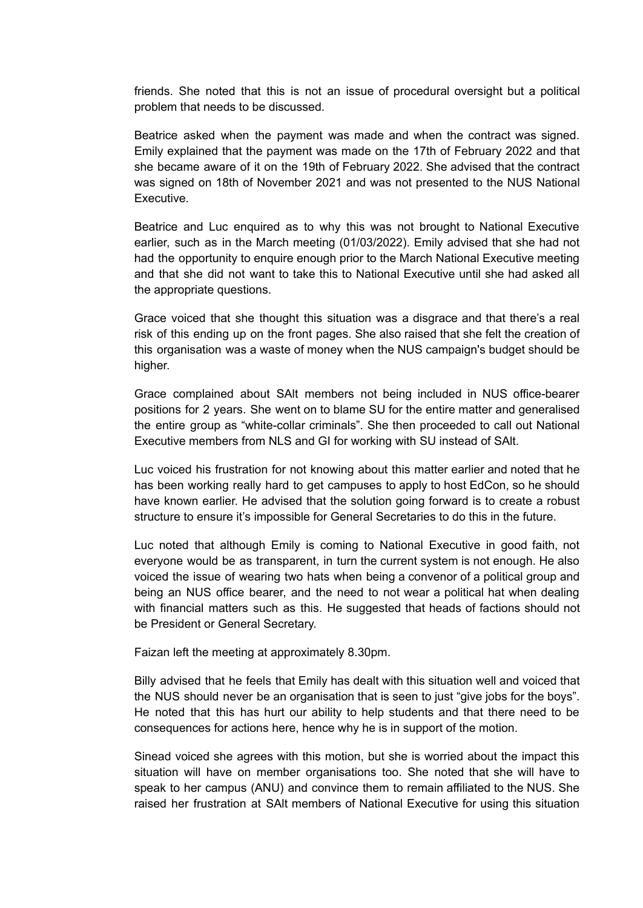friends. She noted that this is not an issue of procedural oversight but a political problem that needs to be discussed.

Beatrice asked when the payment was made and when the contract was signed. Emily explained that the payment was made on the 17th of February 2022 and that she became aware of it on the 19th of February 2022. She advised that the contract was signed on 18th of November 2021 and was not presented to the NUS National Executive.

Beatrice and Luc enquired as to why this was not brought to National Executive earlier, such as in the March meeting (01/03/2022). Emily advised that she had not had the opportunity to enquire enough prior to the March National Executive meeting and that she did not want to take this to National Executive until she had asked all the appropriate questions.

Grace voiced that she thought this situation was a disgrace and that there's a real risk of this ending up on the front pages. She also raised that she felt the creation of this organisation was a waste of money when the NUS campaign's budget should be higher.

Grace complained about SAlt members not being included in NUS office-bearer positions for 2 years. She went on to blame SU for the entire matter and generalised the entire group as "white-collar criminals". She then proceeded to call out National Executive members from NLS and GI for working with SU instead of SAlt.

Luc voiced his frustration for not knowing about this matter earlier and noted that he has been working really hard to get campuses to apply to host EdCon, so he should have known earlier. He advised that the solution going forward is to create a robust structure to ensure it's impossible for General Secretaries to do this in the future.

Luc noted that although Emily is coming to National Executive in good faith, not everyone would be as transparent, in turn the current system is not enough. He also voiced the issue of wearing two hats when being a convenor of a political group and being an NUS office bearer, and the need to not wear a political hat when dealing with financial matters such as this. He suggested that heads of factions should not be President or General Secretary.

Faizan left the meeting at approximately 8.30pm.

Billy advised that he feels that Emily has dealt with this situation well and voiced that the NUS should never be an organisation that is seen to just "give jobs for the boys". He noted that this has hurt our ability to help students and that there need to be consequences for actions here, hence why he is in support of the motion.

Sinead voiced she agrees with this motion, but she is worried about the impact this situation will have on member organisations too. She noted that she will have to speak to her campus (ANU) and convince them to remain affiliated to the NUS. She raised her frustration at SAlt members of National Executive for using this situation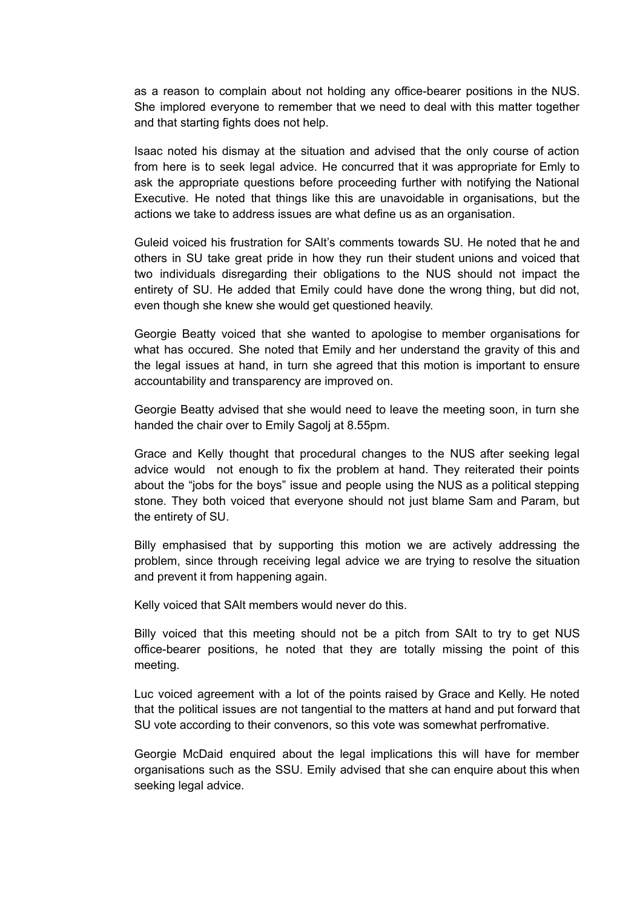as a reason to complain about not holding any office-bearer positions in the NUS. She implored everyone to remember that we need to deal with this matter together and that starting fights does not help.

Isaac noted his dismay at the situation and advised that the only course of action from here is to seek legal advice. He concurred that it was appropriate for Emly to ask the appropriate questions before proceeding further with notifying the National Executive. He noted that things like this are unavoidable in organisations, but the actions we take to address issues are what define us as an organisation.

Guleid voiced his frustration for SAlt's comments towards SU. He noted that he and others in SU take great pride in how they run their student unions and voiced that two individuals disregarding their obligations to the NUS should not impact the entirety of SU. He added that Emily could have done the wrong thing, but did not, even though she knew she would get questioned heavily.

Georgie Beatty voiced that she wanted to apologise to member organisations for what has occured. She noted that Emily and her understand the gravity of this and the legal issues at hand, in turn she agreed that this motion is important to ensure accountability and transparency are improved on.

Georgie Beatty advised that she would need to leave the meeting soon, in turn she handed the chair over to Emily Sagolj at 8.55pm.

Grace and Kelly thought that procedural changes to the NUS after seeking legal advice would not enough to fix the problem at hand. They reiterated their points about the "jobs for the boys" issue and people using the NUS as a political stepping stone. They both voiced that everyone should not just blame Sam and Param, but the entirety of SU.

Billy emphasised that by supporting this motion we are actively addressing the problem, since through receiving legal advice we are trying to resolve the situation and prevent it from happening again.

Kelly voiced that SAlt members would never do this.

Billy voiced that this meeting should not be a pitch from SAlt to try to get NUS office-bearer positions, he noted that they are totally missing the point of this meeting.

Luc voiced agreement with a lot of the points raised by Grace and Kelly. He noted that the political issues are not tangential to the matters at hand and put forward that SU vote according to their convenors, so this vote was somewhat perfromative.

Georgie McDaid enquired about the legal implications this will have for member organisations such as the SSU. Emily advised that she can enquire about this when seeking legal advice.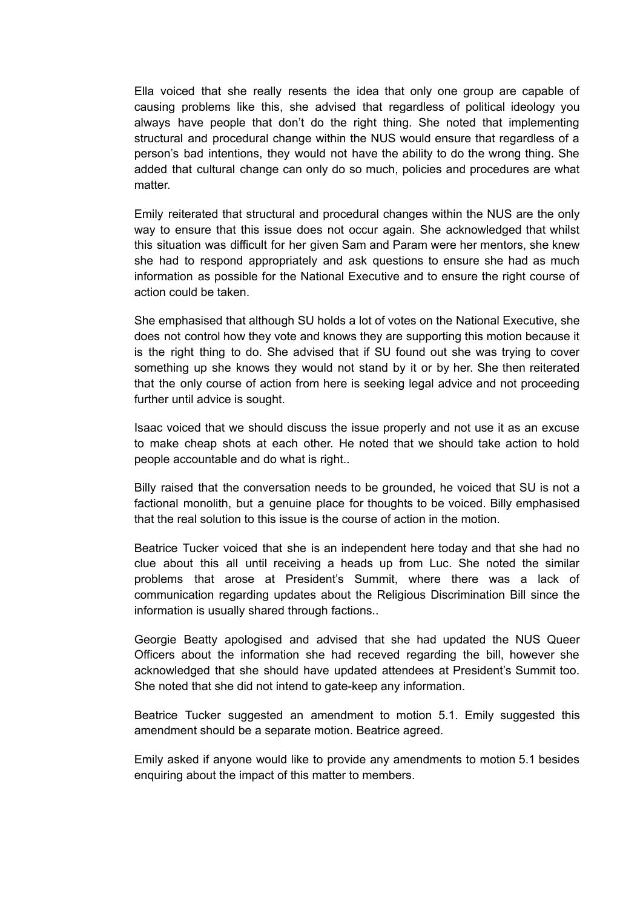Ella voiced that she really resents the idea that only one group are capable of causing problems like this, she advised that regardless of political ideology you always have people that don't do the right thing. She noted that implementing structural and procedural change within the NUS would ensure that regardless of a person's bad intentions, they would not have the ability to do the wrong thing. She added that cultural change can only do so much, policies and procedures are what matter.

Emily reiterated that structural and procedural changes within the NUS are the only way to ensure that this issue does not occur again. She acknowledged that whilst this situation was difficult for her given Sam and Param were her mentors, she knew she had to respond appropriately and ask questions to ensure she had as much information as possible for the National Executive and to ensure the right course of action could be taken.

She emphasised that although SU holds a lot of votes on the National Executive, she does not control how they vote and knows they are supporting this motion because it is the right thing to do. She advised that if SU found out she was trying to cover something up she knows they would not stand by it or by her. She then reiterated that the only course of action from here is seeking legal advice and not proceeding further until advice is sought.

Isaac voiced that we should discuss the issue properly and not use it as an excuse to make cheap shots at each other. He noted that we should take action to hold people accountable and do what is right..

Billy raised that the conversation needs to be grounded, he voiced that SU is not a factional monolith, but a genuine place for thoughts to be voiced. Billy emphasised that the real solution to this issue is the course of action in the motion.

Beatrice Tucker voiced that she is an independent here today and that she had no clue about this all until receiving a heads up from Luc. She noted the similar problems that arose at President's Summit, where there was a lack of communication regarding updates about the Religious Discrimination Bill since the information is usually shared through factions..

Georgie Beatty apologised and advised that she had updated the NUS Queer Officers about the information she had receved regarding the bill, however she acknowledged that she should have updated attendees at President's Summit too. She noted that she did not intend to gate-keep any information.

Beatrice Tucker suggested an amendment to motion 5.1. Emily suggested this amendment should be a separate motion. Beatrice agreed.

Emily asked if anyone would like to provide any amendments to motion 5.1 besides enquiring about the impact of this matter to members.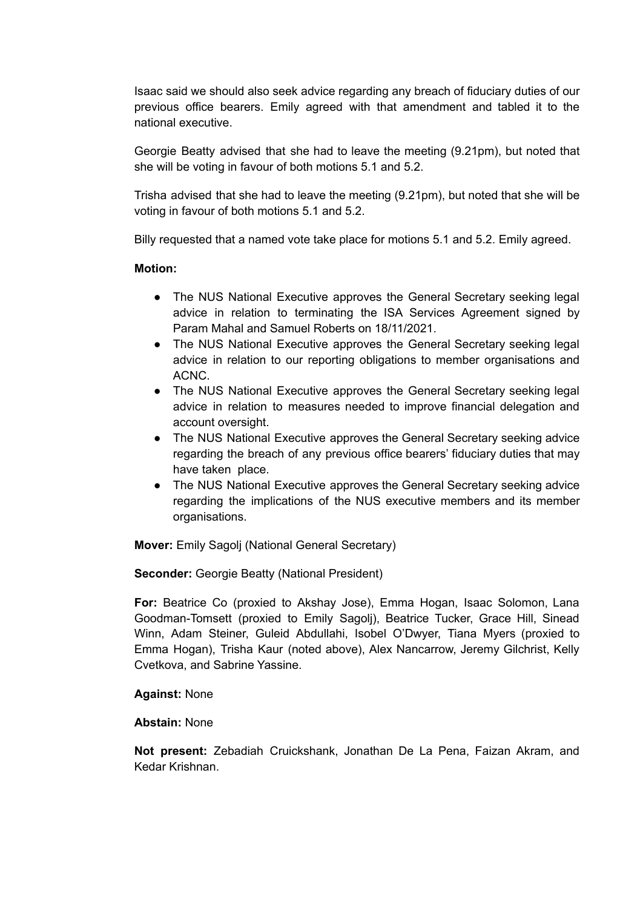Isaac said we should also seek advice regarding any breach of fiduciary duties of our previous office bearers. Emily agreed with that amendment and tabled it to the national executive.

Georgie Beatty advised that she had to leave the meeting (9.21pm), but noted that she will be voting in favour of both motions 5.1 and 5.2.

Trisha advised that she had to leave the meeting (9.21pm), but noted that she will be voting in favour of both motions 5.1 and 5.2.

Billy requested that a named vote take place for motions 5.1 and 5.2. Emily agreed.

## **Motion:**

- The NUS National Executive approves the General Secretary seeking legal advice in relation to terminating the ISA Services Agreement signed by Param Mahal and Samuel Roberts on 18/11/2021.
- The NUS National Executive approves the General Secretary seeking legal advice in relation to our reporting obligations to member organisations and ACNC.
- The NUS National Executive approves the General Secretary seeking legal advice in relation to measures needed to improve financial delegation and account oversight.
- The NUS National Executive approves the General Secretary seeking advice regarding the breach of any previous office bearers' fiduciary duties that may have taken place.
- The NUS National Executive approves the General Secretary seeking advice regarding the implications of the NUS executive members and its member organisations.

**Mover:** Emily Sagolj (National General Secretary)

**Seconder:** Georgie Beatty (National President)

**For:** Beatrice Co (proxied to Akshay Jose), Emma Hogan, Isaac Solomon, Lana Goodman-Tomsett (proxied to Emily Sagolj), Beatrice Tucker, Grace Hill, Sinead Winn, Adam Steiner, Guleid Abdullahi, Isobel O'Dwyer, Tiana Myers (proxied to Emma Hogan), Trisha Kaur (noted above), Alex Nancarrow, Jeremy Gilchrist, Kelly Cvetkova, and Sabrine Yassine.

#### **Against:** None

#### **Abstain:** None

**Not present:** Zebadiah Cruickshank, Jonathan De La Pena, Faizan Akram, and Kedar Krishnan.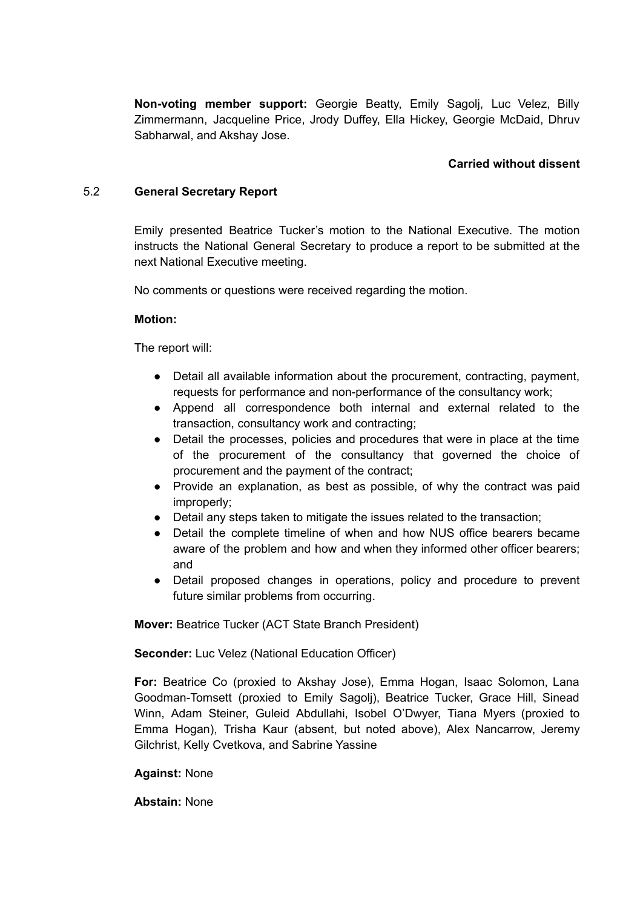**Non-voting member support:** Georgie Beatty, Emily Sagolj, Luc Velez, Billy Zimmermann, Jacqueline Price, Jrody Duffey, Ella Hickey, Georgie McDaid, Dhruv Sabharwal, and Akshay Jose.

# **Carried without dissent**

# 5.2 **General Secretary Report**

Emily presented Beatrice Tucker's motion to the National Executive. The motion instructs the National General Secretary to produce a report to be submitted at the next National Executive meeting.

No comments or questions were received regarding the motion.

# **Motion:**

The report will:

- Detail all available information about the procurement, contracting, payment, requests for performance and non-performance of the consultancy work;
- Append all correspondence both internal and external related to the transaction, consultancy work and contracting;
- Detail the processes, policies and procedures that were in place at the time of the procurement of the consultancy that governed the choice of procurement and the payment of the contract;
- Provide an explanation, as best as possible, of why the contract was paid improperly;
- Detail any steps taken to mitigate the issues related to the transaction:
- Detail the complete timeline of when and how NUS office bearers became aware of the problem and how and when they informed other officer bearers; and
- Detail proposed changes in operations, policy and procedure to prevent future similar problems from occurring.

**Mover:** Beatrice Tucker (ACT State Branch President)

**Seconder:** Luc Velez (National Education Officer)

**For:** Beatrice Co (proxied to Akshay Jose), Emma Hogan, Isaac Solomon, Lana Goodman-Tomsett (proxied to Emily Sagolj), Beatrice Tucker, Grace Hill, Sinead Winn, Adam Steiner, Guleid Abdullahi, Isobel O'Dwyer, Tiana Myers (proxied to Emma Hogan), Trisha Kaur (absent, but noted above), Alex Nancarrow, Jeremy Gilchrist, Kelly Cvetkova, and Sabrine Yassine

**Against:** None

**Abstain:** None